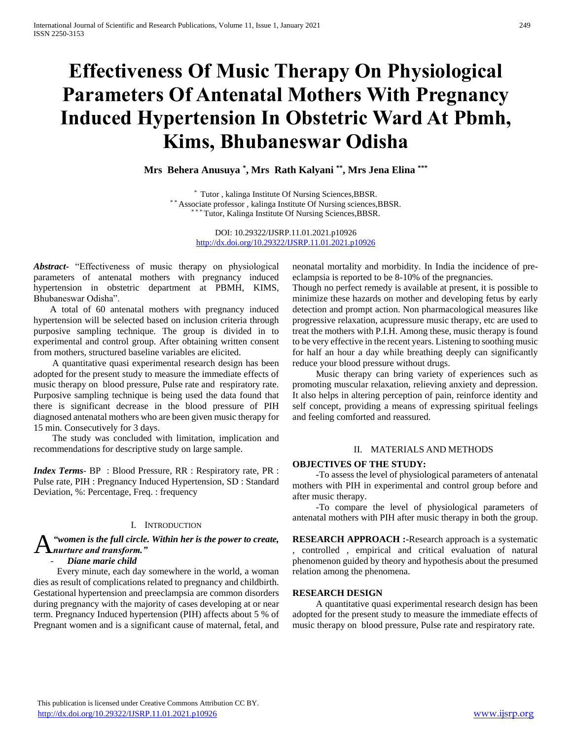# **Effectiveness Of Music Therapy On Physiological Parameters Of Antenatal Mothers With Pregnancy Induced Hypertension In Obstetric Ward At Pbmh, Kims, Bhubaneswar Odisha**

**Mrs Behera Anusuya \* , Mrs Rath Kalyani \*\* , Mrs Jena Elina \*\*\***

\* Tutor , kalinga Institute Of Nursing Sciences,BBSR. \* \* Associate professor , kalinga Institute Of Nursing sciences,BBSR. \*\* Tutor, Kalinga Institute Of Nursing Sciences, BBSR.

> DOI: 10.29322/IJSRP.11.01.2021.p10926 <http://dx.doi.org/10.29322/IJSRP.11.01.2021.p10926>

*Abstract***-** "Effectiveness of music therapy on physiological parameters of antenatal mothers with pregnancy induced hypertension in obstetric department at PBMH, KIMS, Bhubaneswar Odisha".

 A total of 60 antenatal mothers with pregnancy induced hypertension will be selected based on inclusion criteria through purposive sampling technique. The group is divided in to experimental and control group. After obtaining written consent from mothers, structured baseline variables are elicited.

 A quantitative quasi experimental research design has been adopted for the present study to measure the immediate effects of music therapy on blood pressure, Pulse rate and respiratory rate. Purposive sampling technique is being used the data found that there is significant decrease in the blood pressure of PIH diagnosed antenatal mothers who are been given music therapy for 15 min. Consecutively for 3 days.

 The study was concluded with limitation, implication and recommendations for descriptive study on large sample.

*Index Terms*- BP : Blood Pressure, RR : Respiratory rate, PR : Pulse rate, PIH : Pregnancy Induced Hypertension, SD : Standard Deviation, %: Percentage, Freq. : frequency

#### I. INTRODUCTION

*"women is the full circle. Within her is the power to create, nurture and transform."* A

#### - *Diane marie child*

 Every minute, each day somewhere in the world, a woman dies as result of complications related to pregnancy and childbirth. Gestational hypertension and preeclampsia are common disorders during pregnancy with the majority of cases developing at or near term. Pregnancy Induced hypertension (PIH) affects about 5 % of Pregnant women and is a significant cause of maternal, fetal, and neonatal mortality and morbidity. In India the incidence of preeclampsia is reported to be 8-10% of the pregnancies.

Though no perfect remedy is available at present, it is possible to minimize these hazards on mother and developing fetus by early detection and prompt action. Non pharmacological measures like progressive relaxation, acupressure music therapy, etc are used to treat the mothers with P.I.H. Among these, music therapy is found to be very effective in the recent years. Listening to soothing music for half an hour a day while breathing deeply can significantly reduce your blood pressure without drugs.

 Music therapy can bring variety of experiences such as promoting muscular relaxation, relieving anxiety and depression. It also helps in altering perception of pain, reinforce identity and self concept, providing a means of expressing spiritual feelings and feeling comforted and reassured.

#### II. MATERIALS AND METHODS

#### **OBJECTIVES OF THE STUDY:**

 -To assess the level of physiological parameters of antenatal mothers with PIH in experimental and control group before and after music therapy.

 -To compare the level of physiological parameters of antenatal mothers with PIH after music therapy in both the group.

**RESEARCH APPROACH :-**Research approach is a systematic , controlled , empirical and critical evaluation of natural phenomenon guided by theory and hypothesis about the presumed relation among the phenomena.

#### **RESEARCH DESIGN**

 A quantitative quasi experimental research design has been adopted for the present study to measure the immediate effects of music therapy on blood pressure, Pulse rate and respiratory rate.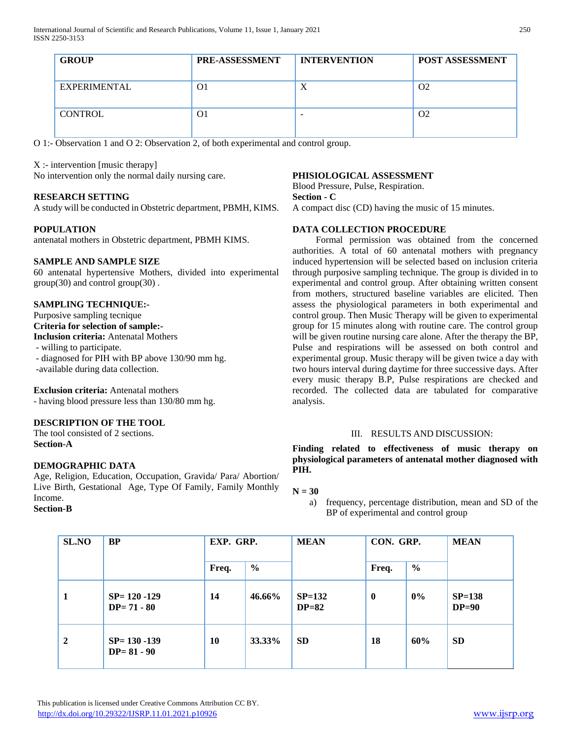| <b>GROUP</b>   | PRE-ASSESSMENT | <b>INTERVENTION</b>      | <b>POST ASSESSMENT</b> |  |
|----------------|----------------|--------------------------|------------------------|--|
| EXPERIMENTAL   | O1             | X                        | O <sub>2</sub>         |  |
| <b>CONTROL</b> | O1             | $\overline{\phantom{a}}$ | O <sub>2</sub>         |  |

O 1:- Observation 1 and O 2: Observation 2, of both experimental and control group.

X :- intervention [music therapy]

No intervention only the normal daily nursing care.

## **RESEARCH SETTING**

A study will be conducted in Obstetric department, PBMH, KIMS.

## **POPULATION**

antenatal mothers in Obstetric department, PBMH KIMS.

#### **SAMPLE AND SAMPLE SIZE**

60 antenatal hypertensive Mothers, divided into experimental group(30) and control group(30) .

#### **SAMPLING TECHNIQUE:-**

Purposive sampling tecnique **Criteria for selection of sample:- Inclusion criteria:** Antenatal Mothers - willing to participate. - diagnosed for PIH with BP above 130/90 mm hg. -available during data collection.

**Exclusion criteria:** Antenatal mothers - having blood pressure less than 130/80 mm hg.

## **DESCRIPTION OF THE TOOL**

The tool consisted of 2 sections. **Section-A**

#### **DEMOGRAPHIC DATA**

Age, Religion, Education, Occupation, Gravida/ Para/ Abortion/ Live Birth, Gestational Age, Type Of Family, Family Monthly Income.

#### **Section-B**

## **PHISIOLOGICAL ASSESSMENT**

Blood Pressure, Pulse, Respiration.

**Section - C**

A compact disc (CD) having the music of 15 minutes.

#### **DATA COLLECTION PROCEDURE**

 Formal permission was obtained from the concerned authorities. A total of 60 antenatal mothers with pregnancy induced hypertension will be selected based on inclusion criteria through purposive sampling technique. The group is divided in to experimental and control group. After obtaining written consent from mothers, structured baseline variables are elicited. Then assess the physiological parameters in both experimental and control group. Then Music Therapy will be given to experimental group for 15 minutes along with routine care. The control group will be given routine nursing care alone. After the therapy the BP, Pulse and respirations will be assessed on both control and experimental group. Music therapy will be given twice a day with two hours interval during daytime for three successive days. After every music therapy B.P, Pulse respirations are checked and recorded. The collected data are tabulated for comparative analysis.

#### III. RESULTS AND DISCUSSION:

**Finding related to effectiveness of music therapy on physiological parameters of antenatal mother diagnosed with PIH.**

## **N = 30**

a) frequency, percentage distribution, mean and SD of the BP of experimental and control group

| SL.NO          | <b>BP</b>                          | EXP. GRP. |               | <b>MEAN</b>         | CON. GRP.    |               | <b>MEAN</b>         |
|----------------|------------------------------------|-----------|---------------|---------------------|--------------|---------------|---------------------|
|                |                                    | Freq.     | $\frac{6}{9}$ |                     | Freq.        | $\frac{6}{6}$ |                     |
| 1              | $SP = 120 - 129$<br>$DP = 71 - 80$ | 14        | 46.66%        | $SP=132$<br>$DP=82$ | $\mathbf{0}$ | $0\%$         | $SP=138$<br>$DP=90$ |
| $\overline{2}$ | $SP = 130 - 139$<br>$DP = 81 - 90$ | 10        | 33.33%        | <b>SD</b>           | 18           | 60%           | <b>SD</b>           |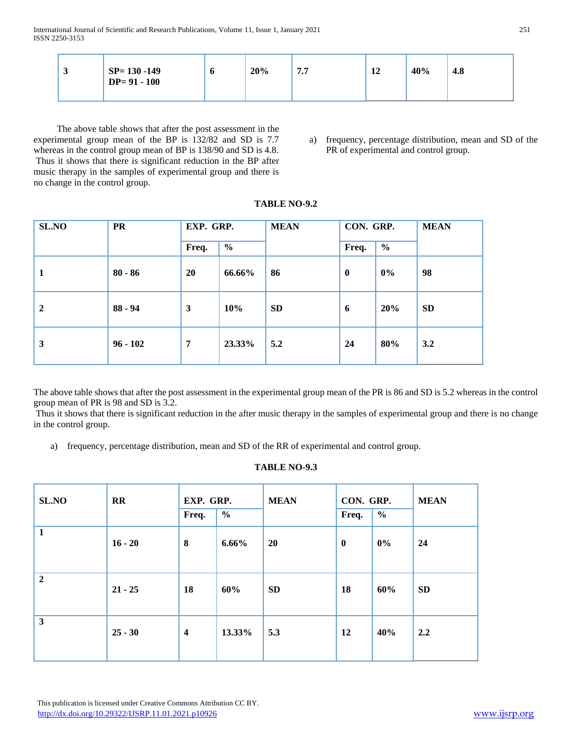| ັ | $SP = 130 - 149$<br>$DP = 91 - 100$ | Ψ | 20% | 77<br>$\overline{\phantom{a}}$ | 12 | 40% | 4.8 |  |
|---|-------------------------------------|---|-----|--------------------------------|----|-----|-----|--|
|---|-------------------------------------|---|-----|--------------------------------|----|-----|-----|--|

 The above table shows that after the post assessment in the experimental group mean of the BP is 132/82 and SD is 7.7 whereas in the control group mean of BP is 138/90 and SD is 4.8. Thus it shows that there is significant reduction in the BP after music therapy in the samples of experimental group and there is no change in the control group.

a) frequency, percentage distribution, mean and SD of the PR of experimental and control group.

| SL.NO        | <b>PR</b>  | EXP. GRP.      |               | <b>MEAN</b> | CON. GRP.        |               | <b>MEAN</b> |
|--------------|------------|----------------|---------------|-------------|------------------|---------------|-------------|
|              |            | Freq.          | $\frac{6}{6}$ |             | Freq.            | $\frac{6}{6}$ |             |
| 1            | $80 - 86$  | 20             | 66.66%        | 86          | $\boldsymbol{0}$ | 0%            | 98          |
| $\mathbf{2}$ | $88 - 94$  | $\mathbf{3}$   | 10%           | <b>SD</b>   | 6                | 20%           | <b>SD</b>   |
| 3            | $96 - 102$ | $\overline{7}$ | 23.33%        | 5.2         | 24               | 80%           | 3.2         |

**TABLE NO-9.2**

The above table shows that after the post assessment in the experimental group mean of the PR is 86 and SD is 5.2 whereas in the control group mean of PR is 98 and SD is 3.2.

Thus it shows that there is significant reduction in the after music therapy in the samples of experimental group and there is no change in the control group.

a) frequency, percentage distribution, mean and SD of the RR of experimental and control group.

# **TABLE NO-9.3**

| SL.NO          | $\mathbf{R}$ | EXP. GRP.        |               | <b>MEAN</b> | CON. GRP. |               | <b>MEAN</b> |
|----------------|--------------|------------------|---------------|-------------|-----------|---------------|-------------|
|                |              | Freq.            | $\frac{6}{6}$ |             | Freq.     | $\frac{0}{0}$ |             |
| $\mathbf{1}$   | $16 - 20$    | 8                | 6.66%         | <b>20</b>   | $\bf{0}$  | $0\%$         | 24          |
| $\overline{2}$ | $21 - 25$    | 18               | 60%           | <b>SD</b>   | 18        | 60%           | <b>SD</b>   |
| $\mathbf{3}$   | $25 - 30$    | $\boldsymbol{4}$ | 13.33%        | 5.3         | 12        | 40%           | 2.2         |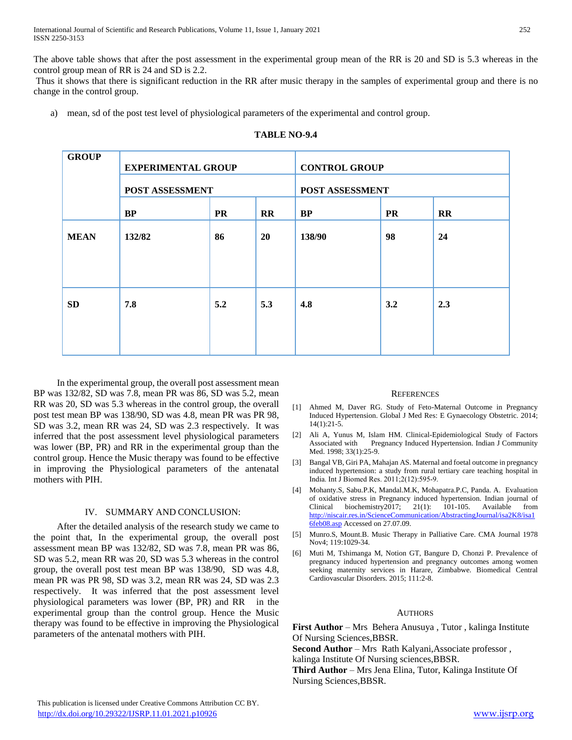The above table shows that after the post assessment in the experimental group mean of the RR is 20 and SD is 5.3 whereas in the control group mean of RR is 24 and SD is 2.2.

Thus it shows that there is significant reduction in the RR after music therapy in the samples of experimental group and there is no change in the control group.

a) mean, sd of the post test level of physiological parameters of the experimental and control group.

| <b>GROUP</b> | <b>EXPERIMENTAL GROUP</b> |           |              | <b>CONTROL GROUP</b> |           |              |  |  |
|--------------|---------------------------|-----------|--------------|----------------------|-----------|--------------|--|--|
|              | POST ASSESSMENT           |           |              | POST ASSESSMENT      |           |              |  |  |
|              | <b>BP</b>                 | <b>PR</b> | $\mathbf{R}$ | <b>BP</b>            | <b>PR</b> | $\mathbf{R}$ |  |  |
| <b>MEAN</b>  | 132/82                    | 86        | 20           | 138/90               | 98        | 24           |  |  |
| <b>SD</b>    | 7.8                       | 5.2       | 5.3          | 4.8                  | 3.2       | 2.3          |  |  |

#### **TABLE NO-9.4**

 In the experimental group, the overall post assessment mean BP was 132/82, SD was 7.8, mean PR was 86, SD was 5.2, mean RR was 20, SD was 5.3 whereas in the control group, the overall post test mean BP was 138/90, SD was 4.8, mean PR was PR 98, SD was 3.2, mean RR was 24, SD was 2.3 respectively. It was inferred that the post assessment level physiological parameters was lower (BP, PR) and RR in the experimental group than the control group. Hence the Music therapy was found to be effective in improving the Physiological parameters of the antenatal mothers with PIH.

#### IV. SUMMARY AND CONCLUSION:

 After the detailed analysis of the research study we came to the point that, In the experimental group, the overall post assessment mean BP was 132/82, SD was 7.8, mean PR was 86, SD was 5.2, mean RR was 20, SD was 5.3 whereas in the control group, the overall post test mean BP was 138/90, SD was 4.8, mean PR was PR 98, SD was 3.2, mean RR was 24, SD was 2.3 respectively. It was inferred that the post assessment level physiological parameters was lower (BP, PR) and RR in the experimental group than the control group. Hence the Music therapy was found to be effective in improving the Physiological parameters of the antenatal mothers with PIH.

#### **REFERENCES**

- [1] Ahmed M, Daver RG. Study of Feto-Maternal Outcome in Pregnancy Induced Hypertension. Global J Med Res: E Gynaecology Obstetric. 2014; 14(1):21-5.
- [2] Ali A, Yunus M, Islam HM. Clinical-Epidemiological Study of Factors Associated with Pregnancy Induced Hypertension. Indian J Community Med. 1998; 33(1):25-9.
- [3] Bangal VB, Giri PA, Mahajan AS. Maternal and foetal outcome in pregnancy induced hypertension: a study from rural tertiary care teaching hospital in India. Int J Biomed Res. 2011;2(12):595‐9.
- [4] Mohanty.S, Sabu.P.K, Mandal.M.K, Mohapatra.P.C, Panda. A. Evaluation of oxidative stress in Pregnancy induced hypertension. Indian journal of Clinical biochemistry2017; 21(1): 101-105. Available from [http://niscair.res.in/ScienceCommunication/AbstractingJournal/isa2K8/isa1](http://niscair.res.in/ScienceCommunication/AbstractingJournal/isa2K8/isa16feb08.asp) [6feb08.asp](http://niscair.res.in/ScienceCommunication/AbstractingJournal/isa2K8/isa16feb08.asp) Accessed on 27.07.09.
- [5] Munro.S, Mount.B. Music Therapy in Palliative Care. CMA Journal 1978 Nov4; 119:1029-34.
- [6] Muti M, Tshimanga M, Notion GT, Bangure D, Chonzi P. Prevalence of pregnancy induced hypertension and pregnancy outcomes among women seeking maternity services in Harare, Zimbabwe. Biomedical Central Cardiovascular Disorders. 2015; 111:2-8.

#### AUTHORS

**First Author** – Mrs Behera Anusuya, Tutor, kalinga Institute Of Nursing Sciences,BBSR.

**Second Author** – Mrs Rath Kalyani, Associate professor, kalinga Institute Of Nursing sciences,BBSR.

**Third Author** – Mrs Jena Elina, Tutor, Kalinga Institute Of Nursing Sciences,BBSR.